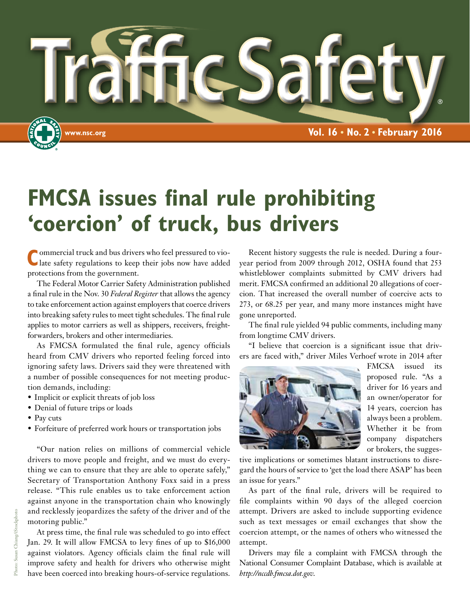

### **FMCSA issues final rule prohibiting 'coercion' of truck, bus drivers**

**C**ommercial truck and bus drivers who feel pressured to violate safety regulations to keep their jobs now have added protections from the government.

The Federal Motor Carrier Safety Administration published a final rule in the Nov. 30 *Federal Register* that allows the agency to take enforcement action against employers that coerce drivers into breaking safety rules to meet tight schedules. The final rule applies to motor carriers as well as shippers, receivers, freightforwarders, brokers and other intermediaries.

As FMCSA formulated the final rule, agency officials heard from CMV drivers who reported feeling forced into ignoring safety laws. Drivers said they were threatened with a number of possible consequences for not meeting production demands, including:

- Implicit or explicit threats of job loss
- Denial of future trips or loads
- Pay cuts
- Forfeiture of preferred work hours or transportation jobs

"Our nation relies on millions of commercial vehicle drivers to move people and freight, and we must do everything we can to ensure that they are able to operate safely," Secretary of Transportation Anthony Foxx said in a press release. "This rule enables us to take enforcement action against anyone in the transportation chain who knowingly and recklessly jeopardizes the safety of the driver and of the motoring public."

At press time, the final rule was scheduled to go into effect Jan. 29. It will allow FMCSA to levy fines of up to \$16,000 against violators. Agency officials claim the final rule will improve safety and health for drivers who otherwise might have been coerced into breaking hours-of-service regulations.

Recent history suggests the rule is needed. During a fouryear period from 2009 through 2012, OSHA found that 253 whistleblower complaints submitted by CMV drivers had merit. FMCSA confirmed an additional 20 allegations of coercion. That increased the overall number of coercive acts to 273, or 68.25 per year, and many more instances might have gone unreported.

The final rule yielded 94 public comments, including many from longtime CMV drivers.

"I believe that coercion is a significant issue that drivers are faced with," driver Miles Verhoef wrote in 2014 after



FMCSA issued its proposed rule. "As a driver for 16 years and an owner/operator for 14 years, coercion has always been a problem. Whether it be from company dispatchers or brokers, the sugges-

tive implications or sometimes blatant instructions to disregard the hours of service to 'get the load there ASAP' has been an issue for years."

As part of the final rule, drivers will be required to file complaints within 90 days of the alleged coercion attempt. Drivers are asked to include supporting evidence such as text messages or email exchanges that show the coercion attempt, or the names of others who witnessed the attempt.

Drivers may file a complaint with FMCSA through the National Consumer Complaint Database, which is available at *http://nccdb.fmcsa.dot.gov*.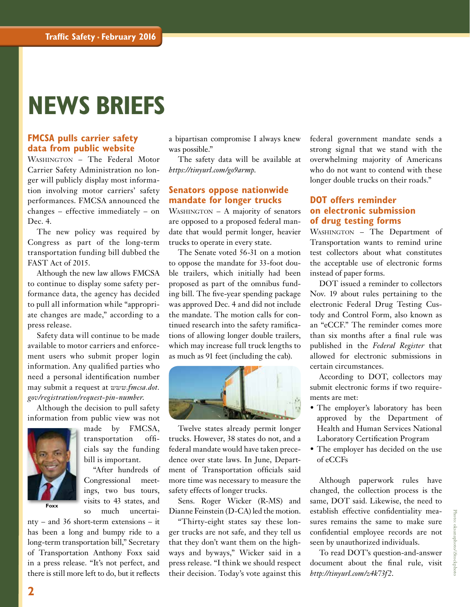### **NEWS BRIEFS**

#### **FMCSA pulls carrier safety data from public website**

Washington – The Federal Motor Carrier Safety Administration no longer will publicly display most information involving motor carriers' safety performances. FMCSA announced the changes – effective immediately – on Dec. 4.

The new policy was required by Congress as part of the long-term transportation funding bill dubbed the FAST Act of 2015.

Although the new law allows FMCSA to continue to display some safety performance data, the agency has decided to pull all information while "appropriate changes are made," according to a press release.

Safety data will continue to be made available to motor carriers and enforcement users who submit proper login information. Any qualified parties who need a personal identification number may submit a request at *www.fmcsa.dot. gov/registration/request-pin-number*.

Although the decision to pull safety information from public view was not



made by FMCSA, transportation officials say the funding bill is important.

"After hundreds of Congressional meetings, two bus tours, visits to 43 states, and so much uncertai-

nty – and 36 short-term extensions – it has been a long and bumpy ride to a long-term transportation bill," Secretary of Transportation Anthony Foxx said in a press release. "It's not perfect, and there is still more left to do, but it reflects

a bipartisan compromise I always knew was possible."

The safety data will be available at *https://tinyurl.com/go9armp*.

#### **Senators oppose nationwide mandate for longer trucks**

WASHINGTON - A majority of senators are opposed to a proposed federal mandate that would permit longer, heavier trucks to operate in every state.

The Senate voted 56-31 on a motion to oppose the mandate for 33-foot double trailers, which initially had been proposed as part of the omnibus funding bill. The five-year spending package was approved Dec. 4 and did not include the mandate. The motion calls for continued research into the safety ramifications of allowing longer double trailers, which may increase full truck lengths to as much as 91 feet (including the cab).



Twelve states already permit longer trucks. However, 38 states do not, and a federal mandate would have taken precedence over state laws. In June, Department of Transportation officials said more time was necessary to measure the safety effects of longer trucks.

Sens. Roger Wicker (R-MS) and Dianne Feinstein (D-CA) led the motion.

"Thirty-eight states say these longer trucks are not safe, and they tell us that they don't want them on the highways and byways," Wicker said in a press release. "I think we should respect their decision. Today's vote against this federal government mandate sends a strong signal that we stand with the overwhelming majority of Americans who do not want to contend with these longer double trucks on their roads."

#### **DOT offers reminder on electronic submission of drug testing forms**

WASHINGTON - The Department of Transportation wants to remind urine test collectors about what constitutes the acceptable use of electronic forms instead of paper forms.

DOT issued a reminder to collectors Nov. 19 about rules pertaining to the electronic Federal Drug Testing Custody and Control Form, also known as an "eCCF." The reminder comes more than six months after a final rule was published in the *Federal Register* that allowed for electronic submissions in certain circumstances.

According to DOT, collectors may submit electronic forms if two requirements are met:

- The employer's laboratory has been approved by the Department of Health and Human Services National Laboratory Certification Program
- The employer has decided on the use of eCCFs

Although paperwork rules have changed, the collection process is the same, DOT said. Likewise, the need to establish effective confidentiality measures remains the same to make sure confidential employee records are not seen by unauthorized individuals.

To read DOT's question-and-answer document about the final rule, visit *http://tinyurl.com/z4k73f2*.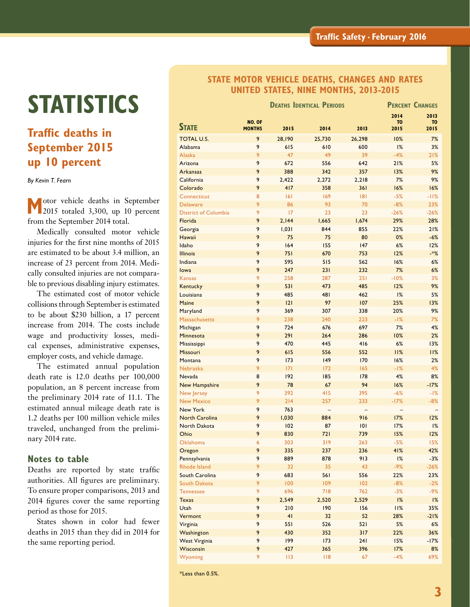# **STATISTICS**

### **Traffic deaths in September 2015 up 10 percent**

*By Kevin T. Fearn*

 **M**otor vehicle deaths in September 2015 totaled 3,300, up 10 percent from the September 2014 total.

Medically consulted motor vehicle injuries for the first nine months of 2015 are estimated to be about 3.4 million, an increase of 23 percent from 2014. Medically consulted injuries are not comparable to previous disabling injury estimates.

The estimated cost of motor vehicle collisions through September is estimated to be about \$230 billion, a 17 percent increase from 2014. The costs include wage and productivity losses, medical expenses, administrative expenses, employer costs, and vehicle damage.

The estimated annual population death rate is 12.0 deaths per 100,000 population, an 8 percent increase from the preliminary 2014 rate of 11.1. The estimated annual mileage death rate is 1.2 deaths per 100 million vehicle miles traveled, unchanged from the preliminary 2014 rate.

#### **Notes to table**

Deaths are reported by state traffic authorities. All figures are preliminary. To ensure proper comparisons, 2013 and 2014 figures cover the same reporting period as those for 2015.

States shown in color had fewer deaths in 2015 than they did in 2014 for the same reporting period.

#### **STATE MOTOR VEHICLE DEATHS, CHANGES AND RATES UNITED STATES, NINE MONTHS, 2013-2015**

|                             |               | <b>DEATHS IDENTICAL PERIODS</b> | <b>PERCENT CHANGES</b> |        |                        |                        |
|-----------------------------|---------------|---------------------------------|------------------------|--------|------------------------|------------------------|
|                             | NO. OF        |                                 |                        |        | 2014<br>T <sub>0</sub> | 2013<br>T <sub>0</sub> |
| <b>STATE</b>                | <b>MONTHS</b> | 2015                            | 2014                   | 2013   | 2015                   | 2015                   |
| <b>TOTAL U.S.</b>           | 9             | 28,190                          | 25,730                 | 26,298 | 10%                    | 7%                     |
| Alabama                     | 9             | 615                             | 610                    | 600    | 1%                     | 3%                     |
| <b>Alaska</b>               | 9             | 47                              | 49                     | 39     | $-4%$                  | 21%                    |
| Arizona                     | 9             | 672                             | 556                    | 642    | 21%                    | 5%                     |
| <b>Arkansas</b>             | 9             | 388                             | 342                    | 357    | 13%                    | 9%                     |
| California                  | 9             | 2,422                           | 2,272                  | 2,218  | 7%                     | 9%                     |
| Colorado                    | 9             | 417                             | 358                    | 361    | 16%                    | 16%                    |
| Connecticut                 | 8             | 6                               | 169                    | 8      | $-5%$                  | $-11%$                 |
| <b>Delaware</b>             | 9             | 86                              | 93                     | 70     | $-8%$                  | 23%                    |
| <b>District of Columbia</b> | 9             | 17                              | 23                     | 23     | $-26%$                 | $-26%$                 |
| Florida                     | 9             | 2,144                           | 1,665                  | 1,674  | 29%                    | 28%                    |
| Georgia                     | 9             | 1,031                           | 844                    | 855    | 22%                    | 21%                    |
| Hawaii                      | 9             | 75                              | 75                     | 80     | 0%                     | $-6%$                  |
| Idaho                       | 9             | 164                             | 155                    | 147    | 6%                     | 12%                    |
| <b>Illinois</b>             | 9             | 751                             | 670                    | 753    | 12%                    | $*%$                   |
| Indiana                     | 9             | 595                             | 515                    | 562    | 16%                    | 6%                     |
| lowa                        | 9             | 247                             | 231                    | 232    | 7%                     | 6%                     |
| Kansas                      | 9             | 258                             | 287                    | 251    | $-10%$                 | 3%                     |
| Kentucky                    | 9             | 531                             | 473                    | 485    | 12%                    | 9%                     |
| Louisiana                   | 9             | 485                             | 481                    | 462    | 1%                     | 5%                     |
| Maine                       | 9             | 2                               | 97                     | 107    | 25%                    | 13%                    |
| Maryland                    | 9             | 369                             | 307                    | 338    | 20%                    | 9%                     |
| <b>Massachusetts</b>        | 9             | 238                             | 240                    | 223    | $-1%$                  | 7%                     |
| Michigan                    | 9             | 724                             | 676                    | 697    | 7%                     | 4%                     |
| Minnesota                   | 9             | 291                             | 264                    | 286    | 10%                    | 2%                     |
| Mississippi                 | 9             | 470                             | 445                    | 416    | 6%                     | 13%                    |
| Missouri                    | 9             | 615                             | 556                    | 552    | 11%                    | 11%                    |
| Montana                     | 9             | 173                             | 149                    | 170    | 16%                    | 2%                     |
| Nebraska                    | 9             | 7                               | 172                    | 165    | $-1%$                  | 4%                     |
| Nevada                      | 8             | 192                             | 185                    | 178    | 4%                     | 8%                     |
| <b>New Hampshire</b>        | 9             | 78                              | 67                     | 94     | 16%                    | $-17%$                 |
| New Jersey                  | 9             | 392                             | 415                    | 395    | $-6%$                  | -1%                    |
| <b>New Mexico</b>           | 9             | 214                             | 257                    | 233    | $-17%$                 | $-8%$                  |
| <b>New York</b>             | 9             | 763                             |                        |        |                        |                        |
| <b>North Carolina</b>       | 9             | 1,030                           | 884                    | 916    | 17%                    | 12%                    |
| North Dakota                | 9             | 102                             | 87                     | 0      | 17%                    | 1%                     |
| Ohio                        | 9             | 830                             | 721                    | 739    | 15%                    | 12%                    |
| <b>Oklahoma</b>             | 6             | 303                             | 319                    | 263    | $-5%$                  | 15%                    |
| Oregon                      | 9             | 335                             | 237                    | 236    | 41%                    | 42%                    |
| Pennsylvania                | 9             | 889                             | 878                    | 913    | $1\%$                  | $-3%$                  |
| Rhode Island                | 9             | 32                              | 35                     | 43     | $-9%$                  | $-26%$                 |
| South Carolina              | 9             | 683                             | 561                    | 556    | 22%                    | 23%                    |
| South Dakota                | 9             | 100                             | 109                    | 102    | $-8%$                  | $-2%$                  |
| <b>Tennessee</b>            | 9             | 696                             | 718                    | 762    | $-3%$                  | $-9%$                  |
| <b>Texas</b>                | 9             | 2,549                           | 2,520                  | 2,529  | $1\%$                  | 1%                     |
| Utah                        | 9             | 210                             | 190                    | 156    | 11%                    | 35%                    |
| Vermont                     | 9             | 41                              | 32                     | 52     | 28%                    | $-21%$                 |
| Virginia                    | 9             | 551                             | 526                    | 521    | 5%                     | 6%                     |
| Washington                  | 9             | 430                             | 352                    | 317    | 22%                    | 36%                    |
| <b>West Virginia</b>        | 9             | 199                             | 173                    | 241    | 15%                    | $-17%$                 |
| Wisconsin                   | 9             | 427                             | 365                    | 396    | 17%                    | 8%                     |
| Wyoming                     | 9             | 113                             | 118                    | 67     | $-4%$                  | 69%                    |